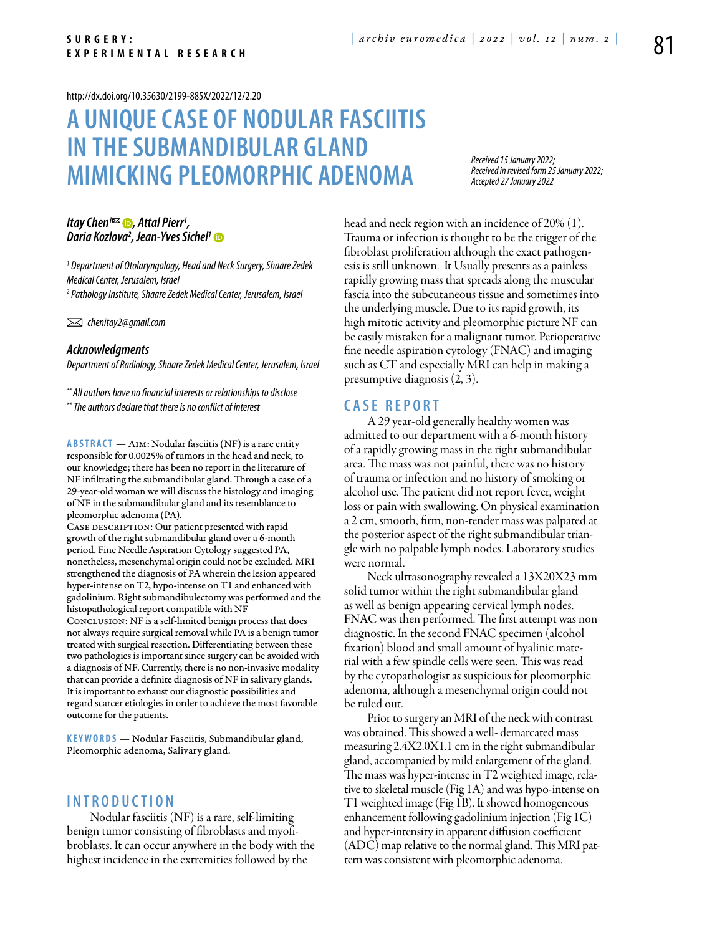#### <http://dx.doi.org/10.35630/2199-885X/2022/12/2.20>

# **A unique case of Nodular Fasciitis in the Submandibular gland mimicking pleomorphic adenoma**

*Received 15 January 2022; Received in revised form 25 January 2022; Accepted 27 January 2022*

## *[Itay Chen](https://orcid.org/0000-0002-4998-1773)1 , Attal Pierr1 , Daria Kozlova2 [, Jean-Yves Sichel1](https://orcid.org/0000-0002-4949-879X)*

*1 Department of Otolaryngology, Head and Neck Surgery, Shaare Zedek Medical Center, Jerusalem, Israel 2 Pathology Institute, Shaare Zedek Medical Center, Jerusalem, Israel*

 *chenitay2@gmail.com*

#### *Acknowledgments*

*Department of Radiology, Shaare Zedek Medical Center, Jerusalem, Israel*

*\*\* All authors have no financial interests or relationships to disclose \*\* The authors declare that there is no conflict of interest*

**Abstract** — Aim: Nodular fasciitis (NF) is a rare entity responsible for 0.0025% of tumors in the head and neck, to our knowledge; there has been no report in the literature of NF infiltrating the submandibular gland. Through a case of a 29-year-old woman we will discuss the histology and imaging of NF in the submandibular gland and its resemblance to pleomorphic adenoma (PA).

CASE DESCRIPTION: Our patient presented with rapid growth of the right submandibular gland over a 6-month period. Fine Needle Aspiration Cytology suggested PA, nonetheless, mesenchymal origin could not be excluded. MRI strengthened the diagnosis of PA wherein the lesion appeared hyper-intense on T2, hypo-intense on T1 and enhanced with gadolinium. Right submandibulectomy was performed and the histopathological report compatible with NF Conclusion: NF is a self-limited benign process that does not always require surgical removal while PA is a benign tumor treated with surgical resection. Differentiating between these two pathologies is important since surgery can be avoided with a diagnosis of NF. Currently, there is no non-invasive modality that can provide a definite diagnosis of NF in salivary glands. It is important to exhaust our diagnostic possibilities and regard scarcer etiologies in order to achieve the most favorable outcome for the patients.

**K eywords** — Nodular Fasciitis, Submandibular gland, Pleomorphic adenoma, Salivary gland.

## **I n t r o ducti o n**

Nodular fasciitis (NF) is a rare, self-limiting benign tumor consisting of fibroblasts and myofibroblasts. It can occur anywhere in the body with the highest incidence in the extremities followed by the

head and neck region with an incidence of 20% (1). Trauma or infection is thought to be the trigger of the fibroblast proliferation although the exact pathogenesis is still unknown. It Usually presents as a painless rapidly growing mass that spreads along the muscular fascia into the subcutaneous tissue and sometimes into the underlying muscle. Due to its rapid growth, its high mitotic activity and pleomorphic picture NF can be easily mistaken for a malignant tumor. Perioperative fine needle aspiration cytology (FNAC) and imaging such as CT and especially MRI can help in making a presumptive diagnosis (2, 3).

## **C a s e R e p o r t**

A 29 year-old generally healthy women was admitted to our department with a 6-month history of a rapidly growing mass in the right submandibular area. The mass was not painful, there was no history of trauma or infection and no history of smoking or alcohol use. The patient did not report fever, weight loss or pain with swallowing. On physical examination a 2 cm, smooth, firm, non-tender mass was palpated at the posterior aspect of the right submandibular triangle with no palpable lymph nodes. Laboratory studies were normal.

Neck ultrasonography revealed a 13X20X23 mm solid tumor within the right submandibular gland as well as benign appearing cervical lymph nodes. FNAC was then performed. The first attempt was non diagnostic. In the second FNAC specimen (alcohol fixation) blood and small amount of hyalinic material with a few spindle cells were seen. This was read by the cytopathologist as suspicious for pleomorphic adenoma, although a mesenchymal origin could not be ruled out.

Prior to surgery an MRI of the neck with contrast was obtained. This showed a well- demarcated mass measuring 2.4X2.0X1.1 cm in the right submandibular gland, accompanied by mild enlargement of the gland. The mass was hyper-intense in T2 weighted image, relative to skeletal muscle (Fig 1A) and was hypo-intense on T1 weighted image (Fig 1B). It showed homogeneous enhancement following gadolinium injection (Fig 1C) and hyper-intensity in apparent diffusion coefficient (ADC) map relative to the normal gland. This MRI pattern was consistent with pleomorphic adenoma.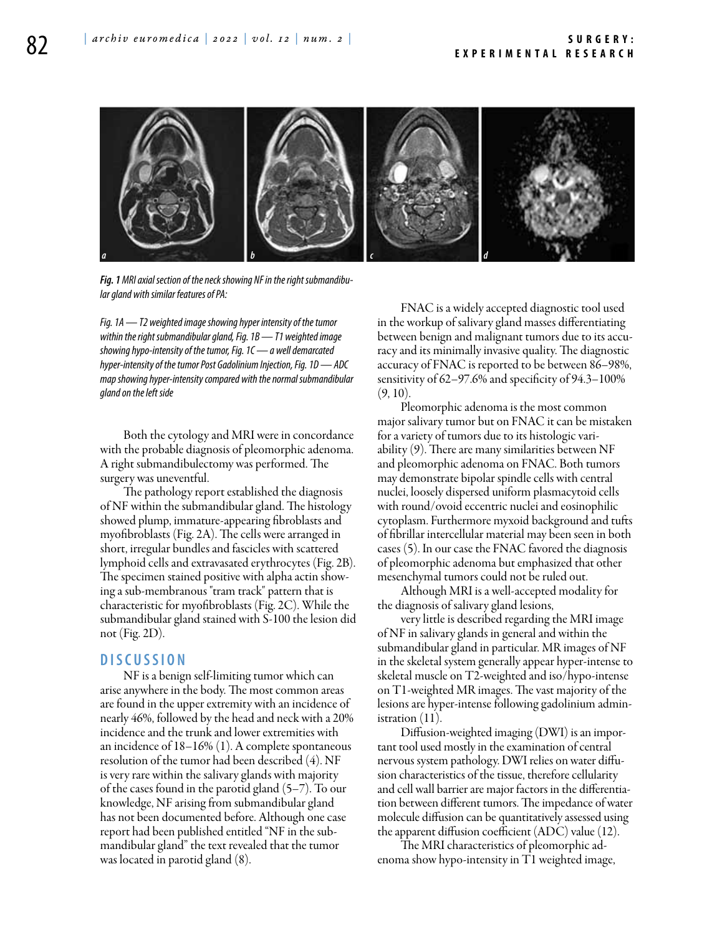

*Fig. 1 MRI axial section of the neck showing NF in the right submandibular gland with similar features of PA:*

*Fig. 1A — T2 weighted image showing hyper intensity of the tumor within the right submandibular gland, Fig. 1B — T1 weighted image showing hypo-intensity of the tumor, Fig. 1C — a well demarcated hyper-intensity of the tumor Post Gadolinium Injection, Fig. 1D — ADC map showing hyper-intensity compared with the normal submandibular gland on the left side*

Both the cytology and MRI were in concordance with the probable diagnosis of pleomorphic adenoma. A right submandibulectomy was performed. The surgery was uneventful.

The pathology report established the diagnosis of NF within the submandibular gland. The histology showed plump, immature-appearing fibroblasts and myofibroblasts (Fig. 2A). The cells were arranged in short, irregular bundles and fascicles with scattered lymphoid cells and extravasated erythrocytes (Fig. 2B). The specimen stained positive with alpha actin showing a sub-membranous "tram track" pattern that is characteristic for myofibroblasts (Fig. 2C). While the submandibular gland stained with S-100 the lesion did not (Fig. 2D).

#### **D iscu s si o n**

NF is a benign self-limiting tumor which can arise anywhere in the body. The most common areas are found in the upper extremity with an incidence of nearly 46%, followed by the head and neck with a 20% incidence and the trunk and lower extremities with an incidence of 18–16% (1). A complete spontaneous resolution of the tumor had been described (4). NF is very rare within the salivary glands with majority of the cases found in the parotid gland (5–7). To our knowledge, NF arising from submandibular gland has not been documented before. Although one case report had been published entitled "NF in the submandibular gland" the text revealed that the tumor was located in parotid gland (8).

FNAC is a widely accepted diagnostic tool used in the workup of salivary gland masses differentiating between benign and malignant tumors due to its accuracy and its minimally invasive quality. The diagnostic accuracy of FNAC is reported to be between 86–98%, sensitivity of 62–97.6% and specificity of 94.3–100%  $(9, 10)$ .

Pleomorphic adenoma is the most common major salivary tumor but on FNAC it can be mistaken for a variety of tumors due to its histologic variability (9). There are many similarities between NF and pleomorphic adenoma on FNAC. Both tumors may demonstrate bipolar spindle cells with central nuclei, loosely dispersed uniform plasmacytoid cells with round/ovoid eccentric nuclei and eosinophilic cytoplasm. Furthermore myxoid background and tufts of fibrillar intercellular material may been seen in both cases (5). In our case the FNAC favored the diagnosis of pleomorphic adenoma but emphasized that other mesenchymal tumors could not be ruled out.

Although MRI is a well-accepted modality for the diagnosis of salivary gland lesions,

very little is described regarding the MRI image of NF in salivary glands in general and within the submandibular gland in particular. MR images of NF in the skeletal system generally appear hyper-intense to skeletal muscle on T2-weighted and iso/hypo-intense on T1-weighted MR images. The vast majority of the lesions are hyper-intense following gadolinium administration (11).

Diffusion-weighted imaging (DWI) is an important tool used mostly in the examination of central nervous system pathology. DWI relies on water diffusion characteristics of the tissue, therefore cellularity and cell wall barrier are major factors in the differentiation between different tumors. The impedance of water molecule diffusion can be quantitatively assessed using the apparent diffusion coefficient (ADC) value (12).

The MRI characteristics of pleomorphic adenoma show hypo-intensity in T1 weighted image,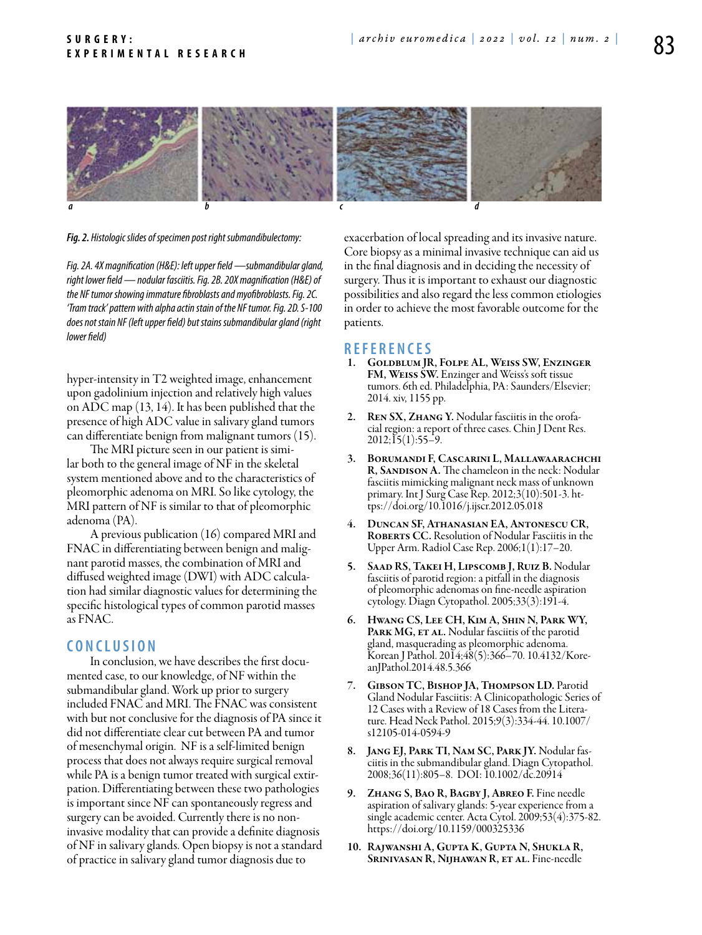

*Fig. 2. Histologic slides of specimen post right submandibulectomy:*

*Fig. 2A. 4X magnification (H&E): left upper field —submandibular gland, right lower field — nodular fasciitis. Fig. 2B. 20X magnification (H&E) of the NF tumor showing immature fibroblasts and myofibroblasts. Fig.2C. 'Tram track' pattern with alpha actin stain of the NF tumor. Fig. 2D. S-100 does not stain NF (left upper field) but stains submandibular gland (right lower field)*

hyper-intensity in T2 weighted image, enhancement upon gadolinium injection and relatively high values on ADC map (13, 14). It has been published that the presence of high ADC value in salivary gland tumors can differentiate benign from malignant tumors (15).

The MRI picture seen in our patient is similar both to the general image of NF in the skeletal system mentioned above and to the characteristics of pleomorphic adenoma on MRI. So like cytology, the MRI pattern of NF is similar to that of pleomorphic adenoma (PA).

A previous publication (16) compared MRI and FNAC in differentiating between benign and malignant parotid masses, the combination of MRI and diffused weighted image (DWI) with ADC calculation had similar diagnostic values for determining the specific histological types of common parotid masses as FNAC.

# **C o n clu si o n**

In conclusion, we have describes the first documented case, to our knowledge, of NF within the submandibular gland. Work up prior to surgery included FNAC and MRI. The FNAC was consistent with but not conclusive for the diagnosis of PA since it did not differentiate clear cut between PA and tumor of mesenchymal origin. NF is a self-limited benign process that does not always require surgical removal while PA is a benign tumor treated with surgical extirpation. Differentiating between these two pathologies is important since NF can spontaneously regress and surgery can be avoided. Currently there is no noninvasive modality that can provide a definite diagnosis of NF in salivary glands. Open biopsy is not a standard of practice in salivary gland tumor diagnosis due to

exacerbation of local spreading and its invasive nature. Core biopsy as a minimal invasive technique can aid us in the final diagnosis and in deciding the necessity of surgery. Thus it is important to exhaust our diagnostic possibilities and also regard the less common etiologies in order to achieve the most favorable outcome for the patients.

#### **R efe r e n ce s**

- 1. Goldblum JR, Folpe AL, Weiss SW, Enzinger FM, Weiss SW. Enzinger and Weiss's soft tissue tumors. 6th ed. Philadelphia, PA: Saunders/Elsevier; 2014. xiv, 1155 pp.
- REN SX, ZHANG Y. Nodular fasciitis in the orofacial region: a report of three cases. Chin J Dent Res.  $2012;15(1):55-9.$
- 3. Borumandi F, Cascarini L, Mallawaarachchi R, SANDISON A. The chameleon in the neck: Nodular fasciitis mimicking malignant neck mass of unknown primary. Int J Surg Case Rep. 2012;3(10):501-3. https://doi.org/10.1016/j.ijscr.2012.05.018
- 4. Duncan SF, Athanasian EA, Antonescu CR, ROBERTS CC. Resolution of Nodular Fasciitis in the Upper Arm. Radiol Case Rep. 2006;1(1):17–20.
- 5. SAAD RS, TAKEI H, LIPSCOMB J, RUIZ B. Nodular fasciitis of parotid region: a pitfall in the diagnosis of pleomorphic adenomas on fine-needle aspiration cytology. Diagn Cytopathol. 2005;33(3):191-4.
- 6. Hwang CS, Lee CH, Kim A, Shin N, Park WY, PARK MG, ET AL. Nodular fasciitis of the parotid gland, masquerading as pleomorphic adenoma. Korean J Pathol. 2014;48(5):366–70. 10.4132/KoreanJPathol.2014.48.5.366
- 7. Gibson TC, Bishop JA, Thompson LD. Parotid Gland Nodular Fasciitis: A Clinicopathologic Series of 12 Cases with a Review of 18 Cases from the Literature. Head Neck Pathol. 2015;9(3):334-44. 10.1007/ s12105-014-0594-9
- 8. Jang EJ, Park TI, Nam SC, Park JY. Nodular fasciitis in the submandibular gland. Diagn Cytopathol. 2008;36(11):805–8. DOI: 10.1002/dc.20914
- 9. Zhang S, Bao R, Bagby J, Abreo F. Fine needle aspiration of salivary glands: 5-year experience from a single academic center. Acta Cytol. 2009;53(4):375-82. https://doi.org/10.1159/000325336
- 10. Rajwanshi A, Gupta K, Gupta N, Shukla R, Srinivasan R, Nijhawan R, et al. Fine-needle